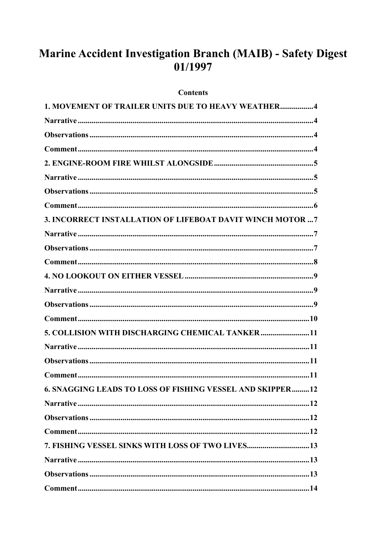# Marine Accident Investigation Branch (MAIB) - Safety Digest 01/1997

#### **Contents**

| <b>1. MOVEMENT OF TRAILER UNITS DUE TO HEAVY WEATHER4</b>  |
|------------------------------------------------------------|
|                                                            |
|                                                            |
|                                                            |
|                                                            |
|                                                            |
|                                                            |
|                                                            |
| 3. INCORRECT INSTALLATION OF LIFEBOAT DAVIT WINCH MOTOR  7 |
|                                                            |
|                                                            |
|                                                            |
|                                                            |
|                                                            |
|                                                            |
| $Common$ $10$                                              |
| 5. COLLISION WITH DISCHARGING CHEMICAL TANKER  11          |
|                                                            |
|                                                            |
|                                                            |
| 6. SNAGGING LEADS TO LOSS OF FISHING VESSEL AND SKIPPER12  |
|                                                            |
|                                                            |
|                                                            |
| 7. FISHING VESSEL SINKS WITH LOSS OF TWO LIVES13           |
|                                                            |
|                                                            |
|                                                            |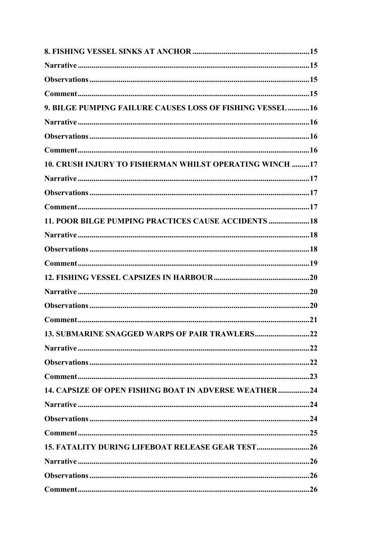| 9. BILGE PUMPING FAILURE CAUSES LOSS OF FISHING VESSEL  16   |     |
|--------------------------------------------------------------|-----|
|                                                              |     |
|                                                              |     |
|                                                              |     |
| 10. CRUSH INJURY TO FISHERMAN WHILST OPERATING WINCH  17     |     |
|                                                              |     |
|                                                              |     |
|                                                              |     |
| 11. POOR BILGE PUMPING PRACTICES CAUSE ACCIDENTS  18         |     |
|                                                              |     |
|                                                              |     |
|                                                              |     |
|                                                              |     |
|                                                              |     |
|                                                              |     |
|                                                              |     |
|                                                              | .22 |
|                                                              |     |
|                                                              |     |
|                                                              |     |
| <b>14. CAPSIZE OF OPEN FISHING BOAT IN ADVERSE WEATHER24</b> |     |
|                                                              |     |
|                                                              |     |
|                                                              |     |
| 15. FATALITY DURING LIFEBOAT RELEASE GEAR TEST26             |     |
|                                                              |     |
|                                                              |     |
|                                                              |     |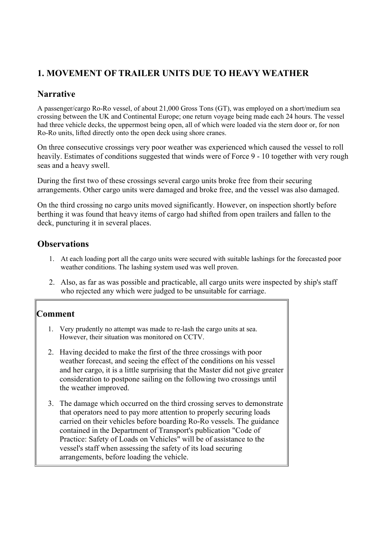## <span id="page-3-0"></span>**1. MOVEMENT OF TRAILER UNITS DUE TO HEAVY WEATHER**

### **Narrative**

A passenger/cargo Ro-Ro vessel, of about 21,000 Gross Tons (GT), was employed on a short/medium sea crossing between the UK and Continental Europe; one return voyage being made each 24 hours. The vessel had three vehicle decks, the uppermost being open, all of which were loaded via the stern door or, for non Ro-Ro units, lifted directly onto the open deck using shore cranes.

On three consecutive crossings very poor weather was experienced which caused the vessel to roll heavily. Estimates of conditions suggested that winds were of Force 9 - 10 together with very rough seas and a heavy swell.

During the first two of these crossings several cargo units broke free from their securing arrangements. Other cargo units were damaged and broke free, and the vessel was also damaged.

On the third crossing no cargo units moved significantly. However, on inspection shortly before berthing it was found that heavy items of cargo had shifted from open trailers and fallen to the deck, puncturing it in several places.

#### **Observations**

- 1. At each loading port all the cargo units were secured with suitable lashings for the forecasted poor weather conditions. The lashing system used was well proven.
- 2. Also, as far as was possible and practicable, all cargo units were inspected by ship's staff who rejected any which were judged to be unsuitable for carriage.

- 1. Very prudently no attempt was made to re-lash the cargo units at sea. However, their situation was monitored on CCTV.
- 2. Having decided to make the first of the three crossings with poor weather forecast, and seeing the effect of the conditions on his vessel and her cargo, it is a little surprising that the Master did not give greater consideration to postpone sailing on the following two crossings until the weather improved.
- 3. The damage which occurred on the third crossing serves to demonstrate that operators need to pay more attention to properly securing loads carried on their vehicles before boarding Ro-Ro vessels. The guidance contained in the Department of Transport's publication "Code of Practice: Safety of Loads on Vehicles" will be of assistance to the vessel's staff when assessing the safety of its load securing arrangements, before loading the vehicle.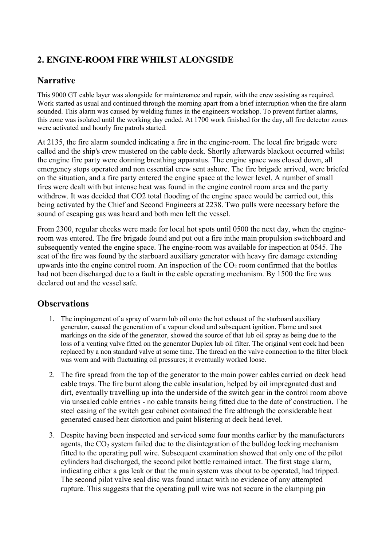## <span id="page-4-0"></span>**2. ENGINE-ROOM FIRE WHILST ALONGSIDE**

#### **Narrative**

This 9000 GT cable layer was alongside for maintenance and repair, with the crew assisting as required. Work started as usual and continued through the morning apart from a brief interruption when the fire alarm sounded. This alarm was caused by welding fumes in the engineers workshop. To prevent further alarms, this zone was isolated until the working day ended. At 1700 work finished for the day, all fire detector zones were activated and hourly fire patrols started.

At 2135, the fire alarm sounded indicating a fire in the engine-room. The local fire brigade were called and the ship's crew mustered on the cable deck. Shortly afterwards blackout occurred whilst the engine fire party were donning breathing apparatus. The engine space was closed down, all emergency stops operated and non essential crew sent ashore. The fire brigade arrived, were briefed on the situation, and a fire party entered the engine space at the lower level. A number of small fires were dealt with but intense heat was found in the engine control room area and the party withdrew. It was decided that CO2 total flooding of the engine space would be carried out, this being activated by the Chief and Second Engineers at 2238. Two pulls were necessary before the sound of escaping gas was heard and both men left the vessel.

From 2300, regular checks were made for local hot spots until 0500 the next day, when the engineroom was entered. The fire brigade found and put out a fire inthe main propulsion switchboard and subsequently vented the engine space. The engine-room was available for inspection at 0545. The seat of the fire was found by the starboard auxiliary generator with heavy fire damage extending upwards into the engine control room. An inspection of the  $CO<sub>2</sub>$  room confirmed that the bottles had not been discharged due to a fault in the cable operating mechanism. By 1500 the fire was declared out and the vessel safe.

- 1. The impingement of a spray of warm lub oil onto the hot exhaust of the starboard auxiliary generator, caused the generation of a vapour cloud and subsequent ignition. Flame and soot markings on the side of the generator, showed the source of that lub oil spray as being due to the loss of a venting valve fitted on the generator Duplex lub oil filter. The original vent cock had been replaced by a non standard valve at some time. The thread on the valve connection to the filter block was worn and with fluctuating oil pressures; it eventually worked loose.
- 2. The fire spread from the top of the generator to the main power cables carried on deck head cable trays. The fire burnt along the cable insulation, helped by oil impregnated dust and dirt, eventually travelling up into the underside of the switch gear in the control room above via unsealed cable entries - no cable transits being fitted due to the date of construction. The steel casing of the switch gear cabinet contained the fire although the considerable heat generated caused heat distortion and paint blistering at deck head level.
- 3. Despite having been inspected and serviced some four months earlier by the manufacturers agents, the  $CO<sub>2</sub>$  system failed due to the disintegration of the bulldog locking mechanism fitted to the operating pull wire. Subsequent examination showed that only one of the pilot cylinders had discharged, the second pilot bottle remained intact. The first stage alarm, indicating either a gas leak or that the main system was about to be operated, had tripped. The second pilot valve seal disc was found intact with no evidence of any attempted rupture. This suggests that the operating pull wire was not secure in the clamping pin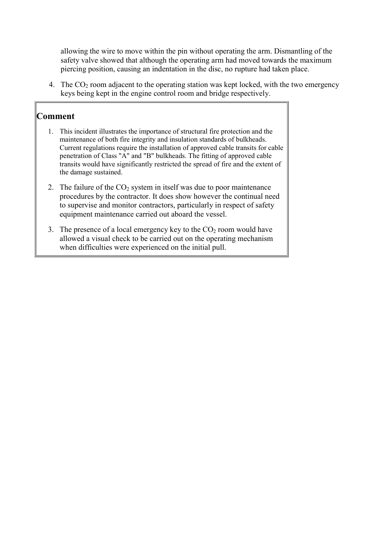<span id="page-5-0"></span>allowing the wire to move within the pin without operating the arm. Dismantling of the safety valve showed that although the operating arm had moved towards the maximum piercing position, causing an indentation in the disc, no rupture had taken place.

4. The  $CO<sub>2</sub>$  room adjacent to the operating station was kept locked, with the two emergency keys being kept in the engine control room and bridge respectively.

- 1. This incident illustrates the importance of structural fire protection and the maintenance of both fire integrity and insulation standards of bulkheads. Current regulations require the installation of approved cable transits for cable penetration of Class "A" and "B" bulkheads. The fitting of approved cable transits would have significantly restricted the spread of fire and the extent of the damage sustained.
- 2. The failure of the  $CO<sub>2</sub>$  system in itself was due to poor maintenance procedures by the contractor. It does show however the continual need to supervise and monitor contractors, particularly in respect of safety equipment maintenance carried out aboard the vessel.
- 3. The presence of a local emergency key to the  $CO<sub>2</sub>$  room would have allowed a visual check to be carried out on the operating mechanism when difficulties were experienced on the initial pull.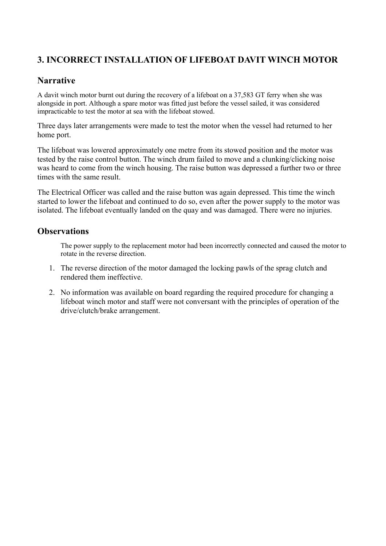## <span id="page-6-0"></span>**3. INCORRECT INSTALLATION OF LIFEBOAT DAVIT WINCH MOTOR**

#### **Narrative**

A davit winch motor burnt out during the recovery of a lifeboat on a 37,583 GT ferry when she was alongside in port. Although a spare motor was fitted just before the vessel sailed, it was considered impracticable to test the motor at sea with the lifeboat stowed.

Three days later arrangements were made to test the motor when the vessel had returned to her home port.

The lifeboat was lowered approximately one metre from its stowed position and the motor was tested by the raise control button. The winch drum failed to move and a clunking/clicking noise was heard to come from the winch housing. The raise button was depressed a further two or three times with the same result.

The Electrical Officer was called and the raise button was again depressed. This time the winch started to lower the lifeboat and continued to do so, even after the power supply to the motor was isolated. The lifeboat eventually landed on the quay and was damaged. There were no injuries.

#### **Observations**

The power supply to the replacement motor had been incorrectly connected and caused the motor to rotate in the reverse direction.

- 1. The reverse direction of the motor damaged the locking pawls of the sprag clutch and rendered them ineffective.
- 2. No information was available on board regarding the required procedure for changing a lifeboat winch motor and staff were not conversant with the principles of operation of the drive/clutch/brake arrangement.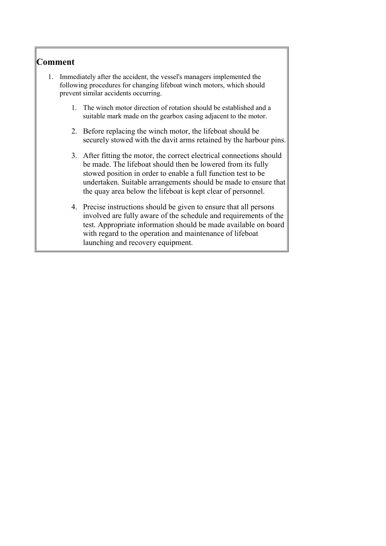- <span id="page-7-0"></span>1. Immediately after the accident, the vessel's managers implemented the following procedures for changing lifeboat winch motors, which should prevent similar accidents occurring.
	- 1. The winch motor direction of rotation should be established and a suitable mark made on the gearbox casing adjacent to the motor.
	- 2. Before replacing the winch motor, the lifeboat should be securely stowed with the davit arms retained by the harbour pins.
	- 3. After fitting the motor, the correct electrical connections should be made. The lifeboat should then be lowered from its fully stowed position in order to enable a full function test to be undertaken. Suitable arrangements should be made to ensure that the quay area below the lifeboat is kept clear of personnel.
	- 4. Precise instructions should be given to ensure that all persons involved are fully aware of the schedule and requirements of the test. Appropriate information should be made available on board with regard to the operation and maintenance of lifeboat launching and recovery equipment.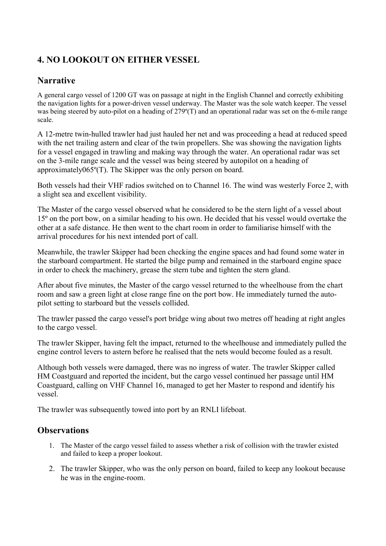## <span id="page-8-0"></span>**4. NO LOOKOUT ON EITHER VESSEL**

### **Narrative**

A general cargo vessel of 1200 GT was on passage at night in the English Channel and correctly exhibiting the navigation lights for a power-driven vessel underway. The Master was the sole watch keeper. The vessel was being steered by auto-pilot on a heading of 279°(T) and an operational radar was set on the 6-mile range scale.

A 12-metre twin-hulled trawler had just hauled her net and was proceeding a head at reduced speed with the net trailing astern and clear of the twin propellers. She was showing the navigation lights for a vessel engaged in trawling and making way through the water. An operational radar was set on the 3-mile range scale and the vessel was being steered by autopilot on a heading of approximately065º(T). The Skipper was the only person on board.

Both vessels had their VHF radios switched on to Channel 16. The wind was westerly Force 2, with a slight sea and excellent visibility.

The Master of the cargo vessel observed what he considered to be the stern light of a vessel about 15º on the port bow, on a similar heading to his own. He decided that his vessel would overtake the other at a safe distance. He then went to the chart room in order to familiarise himself with the arrival procedures for his next intended port of call.

Meanwhile, the trawler Skipper had been checking the engine spaces and had found some water in the starboard compartment. He started the bilge pump and remained in the starboard engine space in order to check the machinery, grease the stern tube and tighten the stern gland.

After about five minutes, the Master of the cargo vessel returned to the wheelhouse from the chart room and saw a green light at close range fine on the port bow. He immediately turned the autopilot setting to starboard but the vessels collided.

The trawler passed the cargo vessel's port bridge wing about two metres off heading at right angles to the cargo vessel.

The trawler Skipper, having felt the impact, returned to the wheelhouse and immediately pulled the engine control levers to astern before he realised that the nets would become fouled as a result.

Although both vessels were damaged, there was no ingress of water. The trawler Skipper called HM Coastguard and reported the incident, but the cargo vessel continued her passage until HM Coastguard, calling on VHF Channel 16, managed to get her Master to respond and identify his vessel.

The trawler was subsequently towed into port by an RNLI lifeboat.

- 1. The Master of the cargo vessel failed to assess whether a risk of collision with the trawler existed and failed to keep a proper lookout.
- 2. The trawler Skipper, who was the only person on board, failed to keep any lookout because he was in the engine-room.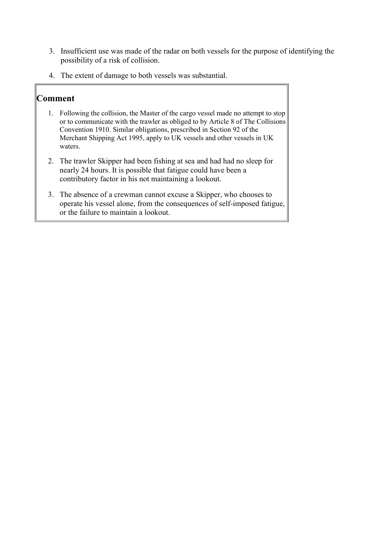- <span id="page-9-0"></span>3. Insufficient use was made of the radar on both vessels for the purpose of identifying the possibility of a risk of collision.
- 4. The extent of damage to both vessels was substantial.

- 1. Following the collision, the Master of the cargo vessel made no attempt to stop or to communicate with the trawler as obliged to by Article 8 of The Collisions Convention 1910. Similar obligations, prescribed in Section 92 of the Merchant Shipping Act 1995, apply to UK vessels and other vessels in UK waters.
- 2. The trawler Skipper had been fishing at sea and had had no sleep for nearly 24 hours. It is possible that fatigue could have been a contributory factor in his not maintaining a lookout.
- 3. The absence of a crewman cannot excuse a Skipper, who chooses to operate his vessel alone, from the consequences of self-imposed fatigue, or the failure to maintain a lookout.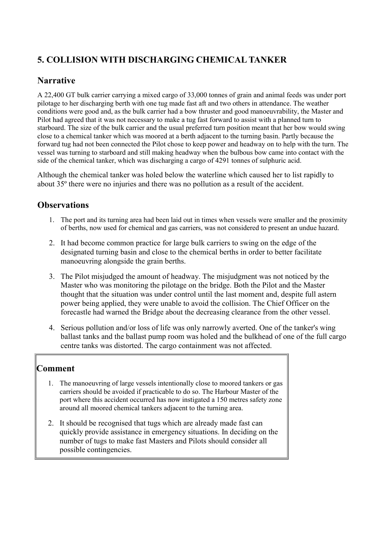## <span id="page-10-0"></span>**5. COLLISION WITH DISCHARGING CHEMICAL TANKER**

## **Narrative**

A 22,400 GT bulk carrier carrying a mixed cargo of 33,000 tonnes of grain and animal feeds was under port pilotage to her discharging berth with one tug made fast aft and two others in attendance. The weather conditions were good and, as the bulk carrier had a bow thruster and good manoeuvrability, the Master and Pilot had agreed that it was not necessary to make a tug fast forward to assist with a planned turn to starboard. The size of the bulk carrier and the usual preferred turn position meant that her bow would swing close to a chemical tanker which was moored at a berth adjacent to the turning basin. Partly because the forward tug had not been connected the Pilot chose to keep power and headway on to help with the turn. The vessel was turning to starboard and still making headway when the bulbous bow came into contact with the side of the chemical tanker, which was discharging a cargo of 4291 tonnes of sulphuric acid.

Although the chemical tanker was holed below the waterline which caused her to list rapidly to about 35º there were no injuries and there was no pollution as a result of the accident.

#### **Observations**

- 1. The port and its turning area had been laid out in times when vessels were smaller and the proximity of berths, now used for chemical and gas carriers, was not considered to present an undue hazard.
- 2. It had become common practice for large bulk carriers to swing on the edge of the designated turning basin and close to the chemical berths in order to better facilitate manoeuvring alongside the grain berths.
- 3. The Pilot misjudged the amount of headway. The misjudgment was not noticed by the Master who was monitoring the pilotage on the bridge. Both the Pilot and the Master thought that the situation was under control until the last moment and, despite full astern power being applied, they were unable to avoid the collision. The Chief Officer on the forecastle had warned the Bridge about the decreasing clearance from the other vessel.
- 4. Serious pollution and/or loss of life was only narrowly averted. One of the tanker's wing ballast tanks and the ballast pump room was holed and the bulkhead of one of the full cargo centre tanks was distorted. The cargo containment was not affected.

- 1. The manoeuvring of large vessels intentionally close to moored tankers or gas carriers should be avoided if practicable to do so. The Harbour Master of the port where this accident occurred has now instigated a 150 metres safety zone around all moored chemical tankers adjacent to the turning area.
- 2. It should be recognised that tugs which are already made fast can quickly provide assistance in emergency situations. In deciding on the number of tugs to make fast Masters and Pilots should consider all possible contingencies.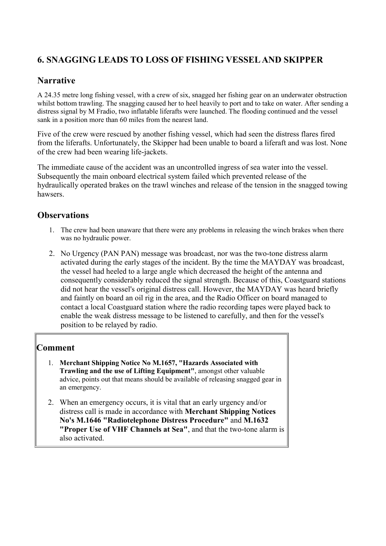## <span id="page-11-0"></span>**6. SNAGGING LEADS TO LOSS OF FISHING VESSEL AND SKIPPER**

#### **Narrative**

A 24.35 metre long fishing vessel, with a crew of six, snagged her fishing gear on an underwater obstruction whilst bottom trawling. The snagging caused her to heel heavily to port and to take on water. After sending a distress signal by M Fradio, two inflatable liferafts were launched. The flooding continued and the vessel sank in a position more than 60 miles from the nearest land.

Five of the crew were rescued by another fishing vessel, which had seen the distress flares fired from the liferafts. Unfortunately, the Skipper had been unable to board a liferaft and was lost. None of the crew had been wearing life-jackets.

The immediate cause of the accident was an uncontrolled ingress of sea water into the vessel. Subsequently the main onboard electrical system failed which prevented release of the hydraulically operated brakes on the trawl winches and release of the tension in the snagged towing hawsers.

#### **Observations**

- 1. The crew had been unaware that there were any problems in releasing the winch brakes when there was no hydraulic power.
- 2. No Urgency (PAN PAN) message was broadcast, nor was the two-tone distress alarm activated during the early stages of the incident. By the time the MAYDAY was broadcast, the vessel had heeled to a large angle which decreased the height of the antenna and consequently considerably reduced the signal strength. Because of this, Coastguard stations did not hear the vessel's original distress call. However, the MAYDAY was heard briefly and faintly on board an oil rig in the area, and the Radio Officer on board managed to contact a local Coastguard station where the radio recording tapes were played back to enable the weak distress message to be listened to carefully, and then for the vessel's position to be relayed by radio.

- 1. **Merchant Shipping Notice No M.1657, "Hazards Associated with Trawling and the use of Lifting Equipment"**, amongst other valuable advice, points out that means should be available of releasing snagged gear in an emergency.
- 2. When an emergency occurs, it is vital that an early urgency and/or distress call is made in accordance with **Merchant Shipping Notices No's M.1646 "Radiotelephone Distress Procedure"** and **M.1632 "Proper Use of VHF Channels at Sea"**, and that the two-tone alarm is also activated.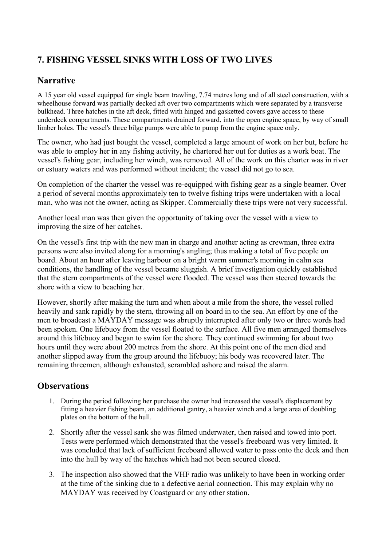## <span id="page-12-0"></span>**7. FISHING VESSEL SINKS WITH LOSS OF TWO LIVES**

### **Narrative**

A 15 year old vessel equipped for single beam trawling, 7.74 metres long and of all steel construction, with a wheelhouse forward was partially decked aft over two compartments which were separated by a transverse bulkhead. Three hatches in the aft deck, fitted with hinged and gasketted covers gave access to these underdeck compartments. These compartments drained forward, into the open engine space, by way of small limber holes. The vessel's three bilge pumps were able to pump from the engine space only.

The owner, who had just bought the vessel, completed a large amount of work on her but, before he was able to employ her in any fishing activity, he chartered her out for duties as a work boat. The vessel's fishing gear, including her winch, was removed. All of the work on this charter was in river or estuary waters and was performed without incident; the vessel did not go to sea.

On completion of the charter the vessel was re-equipped with fishing gear as a single beamer. Over a period of several months approximately ten to twelve fishing trips were undertaken with a local man, who was not the owner, acting as Skipper. Commercially these trips were not very successful.

Another local man was then given the opportunity of taking over the vessel with a view to improving the size of her catches.

On the vessel's first trip with the new man in charge and another acting as crewman, three extra persons were also invited along for a morning's angling; thus making a total of five people on board. About an hour after leaving harbour on a bright warm summer's morning in calm sea conditions, the handling of the vessel became sluggish. A brief investigation quickly established that the stern compartments of the vessel were flooded. The vessel was then steered towards the shore with a view to beaching her.

However, shortly after making the turn and when about a mile from the shore, the vessel rolled heavily and sank rapidly by the stern, throwing all on board in to the sea. An effort by one of the men to broadcast a MAYDAY message was abruptly interrupted after only two or three words had been spoken. One lifebuoy from the vessel floated to the surface. All five men arranged themselves around this lifebuoy and began to swim for the shore. They continued swimming for about two hours until they were about 200 metres from the shore. At this point one of the men died and another slipped away from the group around the lifebuoy; his body was recovered later. The remaining threemen, although exhausted, scrambled ashore and raised the alarm.

- 1. During the period following her purchase the owner had increased the vessel's displacement by fitting a heavier fishing beam, an additional gantry, a heavier winch and a large area of doubling plates on the bottom of the hull.
- 2. Shortly after the vessel sank she was filmed underwater, then raised and towed into port. Tests were performed which demonstrated that the vessel's freeboard was very limited. It was concluded that lack of sufficient freeboard allowed water to pass onto the deck and then into the hull by way of the hatches which had not been secured closed.
- 3. The inspection also showed that the VHF radio was unlikely to have been in working order at the time of the sinking due to a defective aerial connection. This may explain why no MAYDAY was received by Coastguard or any other station.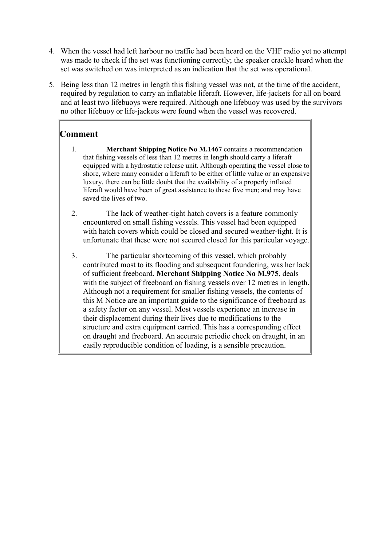- <span id="page-13-0"></span>4. When the vessel had left harbour no traffic had been heard on the VHF radio yet no attempt was made to check if the set was functioning correctly; the speaker crackle heard when the set was switched on was interpreted as an indication that the set was operational.
- 5. Being less than 12 metres in length this fishing vessel was not, at the time of the accident, required by regulation to carry an inflatable liferaft. However, life-jackets for all on board and at least two lifebuoys were required. Although one lifebuoy was used by the survivors no other lifebuoy or life-jackets were found when the vessel was recovered.

- 1. **Merchant Shipping Notice No M.1467** contains a recommendation that fishing vessels of less than 12 metres in length should carry a liferaft equipped with a hydrostatic release unit. Although operating the vessel close to shore, where many consider a liferaft to be either of little value or an expensive luxury, there can be little doubt that the availability of a properly inflated liferaft would have been of great assistance to these five men; and may have saved the lives of two.
- 2. The lack of weather-tight hatch covers is a feature commonly encountered on small fishing vessels. This vessel had been equipped with hatch covers which could be closed and secured weather-tight. It is unfortunate that these were not secured closed for this particular voyage.
- 3. The particular shortcoming of this vessel, which probably contributed most to its flooding and subsequent foundering, was her lack of sufficient freeboard. **Merchant Shipping Notice No M.975**, deals with the subject of freeboard on fishing vessels over 12 metres in length. Although not a requirement for smaller fishing vessels, the contents of this M Notice are an important guide to the significance of freeboard as a safety factor on any vessel. Most vessels experience an increase in their displacement during their lives due to modifications to the structure and extra equipment carried. This has a corresponding effect on draught and freeboard. An accurate periodic check on draught, in an easily reproducible condition of loading, is a sensible precaution.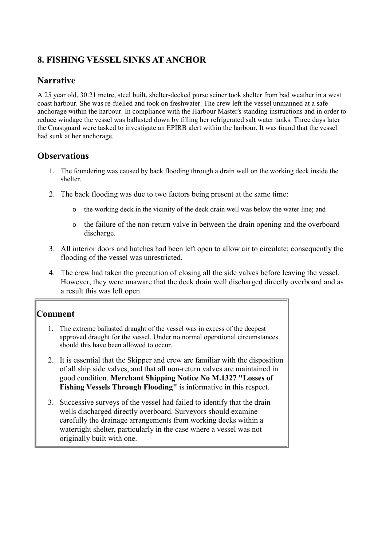## <span id="page-14-0"></span>**8. FISHING VESSEL SINKS AT ANCHOR**

#### **Narrative**

A 25 year old, 30.21 metre, steel built, shelter-decked purse seiner took shelter from bad weather in a west coast harbour. She was re-fuelled and took on freshwater. The crew left the vessel unmanned at a safe anchorage within the harbour. In compliance with the Harbour Master's standing instructions and in order to reduce windage the vessel was ballasted down by filling her refrigerated salt water tanks. Three days later the Coastguard were tasked to investigate an EPIRB alert within the harbour. It was found that the vessel had sunk at her anchorage.

#### **Observations**

- 1. The foundering was caused by back flooding through a drain well on the working deck inside the shelter.
- 2. The back flooding was due to two factors being present at the same time:
	- o the working deck in the vicinity of the deck drain well was below the water line; and
	- o the failure of the non-return valve in between the drain opening and the overboard discharge.
- 3. All interior doors and hatches had been left open to allow air to circulate; consequently the flooding of the vessel was unrestricted.
- 4. The crew had taken the precaution of closing all the side valves before leaving the vessel. However, they were unaware that the deck drain well discharged directly overboard and as a result this was left open.

- 1. The extreme ballasted draught of the vessel was in excess of the deepest approved draught for the vessel. Under no normal operational circumstances should this have been allowed to occur.
- 2. It is essential that the Skipper and crew are familiar with the disposition of all ship side valves, and that all non-return valves are maintained in good condition. **Merchant Shipping Notice No M.1327 "Losses of Fishing Vessels Through Flooding"** is informative in this respect.
- 3. Successive surveys of the vessel had failed to identify that the drain wells discharged directly overboard. Surveyors should examine carefully the drainage arrangements from working decks within a watertight shelter, particularly in the case where a vessel was not originally built with one.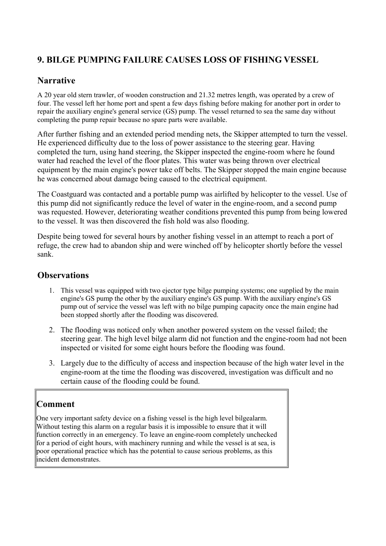## <span id="page-15-0"></span>**9. BILGE PUMPING FAILURE CAUSES LOSS OF FISHING VESSEL**

#### **Narrative**

A 20 year old stern trawler, of wooden construction and 21.32 metres length, was operated by a crew of four. The vessel left her home port and spent a few days fishing before making for another port in order to repair the auxiliary engine's general service (GS) pump. The vessel returned to sea the same day without completing the pump repair because no spare parts were available.

After further fishing and an extended period mending nets, the Skipper attempted to turn the vessel. He experienced difficulty due to the loss of power assistance to the steering gear. Having completed the turn, using hand steering, the Skipper inspected the engine-room where he found water had reached the level of the floor plates. This water was being thrown over electrical equipment by the main engine's power take off belts. The Skipper stopped the main engine because he was concerned about damage being caused to the electrical equipment.

The Coastguard was contacted and a portable pump was airlifted by helicopter to the vessel. Use of this pump did not significantly reduce the level of water in the engine-room, and a second pump was requested. However, deteriorating weather conditions prevented this pump from being lowered to the vessel. It was then discovered the fish hold was also flooding.

Despite being towed for several hours by another fishing vessel in an attempt to reach a port of refuge, the crew had to abandon ship and were winched off by helicopter shortly before the vessel sank.

#### **Observations**

- 1. This vessel was equipped with two ejector type bilge pumping systems; one supplied by the main engine's GS pump the other by the auxiliary engine's GS pump. With the auxiliary engine's GS pump out of service the vessel was left with no bilge pumping capacity once the main engine had been stopped shortly after the flooding was discovered.
- 2. The flooding was noticed only when another powered system on the vessel failed; the steering gear. The high level bilge alarm did not function and the engine-room had not been inspected or visited for some eight hours before the flooding was found.
- 3. Largely due to the difficulty of access and inspection because of the high water level in the engine-room at the time the flooding was discovered, investigation was difficult and no certain cause of the flooding could be found.

## **Comment**

One very important safety device on a fishing vessel is the high level bilgealarm. Without testing this alarm on a regular basis it is impossible to ensure that it will function correctly in an emergency. To leave an engine-room completely unchecked for a period of eight hours, with machinery running and while the vessel is at sea, is poor operational practice which has the potential to cause serious problems, as this incident demonstrates.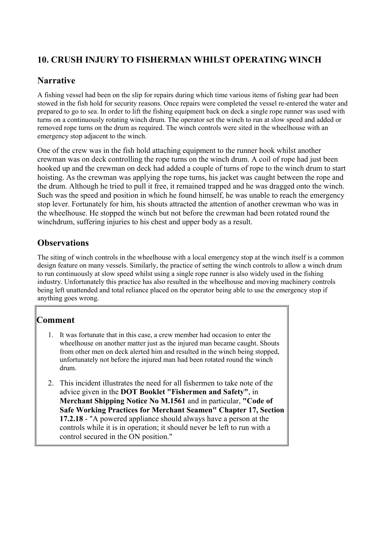## <span id="page-16-0"></span>**10. CRUSH INJURY TO FISHERMAN WHILST OPERATING WINCH**

#### **Narrative**

A fishing vessel had been on the slip for repairs during which time various items of fishing gear had been stowed in the fish hold for security reasons. Once repairs were completed the vessel re-entered the water and prepared to go to sea. In order to lift the fishing equipment back on deck a single rope runner was used with turns on a continuously rotating winch drum. The operator set the winch to run at slow speed and added or removed rope turns on the drum as required. The winch controls were sited in the wheelhouse with an emergency stop adjacent to the winch.

One of the crew was in the fish hold attaching equipment to the runner hook whilst another crewman was on deck controlling the rope turns on the winch drum. A coil of rope had just been hooked up and the crewman on deck had added a couple of turns of rope to the winch drum to start hoisting. As the crewman was applying the rope turns, his jacket was caught between the rope and the drum. Although he tried to pull it free, it remained trapped and he was dragged onto the winch. Such was the speed and position in which he found himself, he was unable to reach the emergency stop lever. Fortunately for him, his shouts attracted the attention of another crewman who was in the wheelhouse. He stopped the winch but not before the crewman had been rotated round the winchdrum, suffering injuries to his chest and upper body as a result.

#### **Observations**

The siting of winch controls in the wheelhouse with a local emergency stop at the winch itself is a common design feature on many vessels. Similarly, the practice of setting the winch controls to allow a winch drum to run continuously at slow speed whilst using a single rope runner is also widely used in the fishing industry. Unfortunately this practice has also resulted in the wheelhouse and moving machinery controls being left unattended and total reliance placed on the operator being able to use the emergency stop if anything goes wrong.

- 1. It was fortunate that in this case, a crew member had occasion to enter the wheelhouse on another matter just as the injured man became caught. Shouts from other men on deck alerted him and resulted in the winch being stopped, unfortunately not before the injured man had been rotated round the winch drum.
- 2. This incident illustrates the need for all fishermen to take note of the advice given in the **DOT Booklet "Fishermen and Safety"**, in **Merchant Shipping Notice No M.1561** and in particular, **"Code of Safe Working Practices for Merchant Seamen" Chapter 17, Section 17.2.18** - "A powered appliance should always have a person at the controls while it is in operation; it should never be left to run with a control secured in the ON position."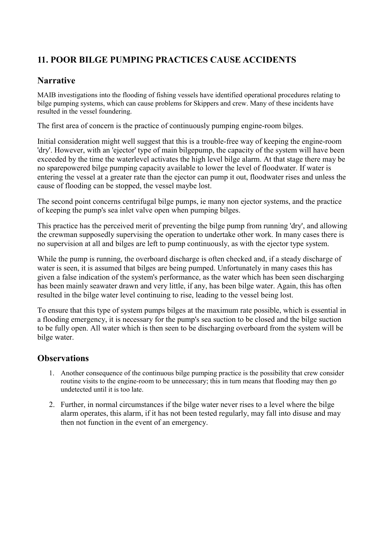## <span id="page-17-0"></span>**11. POOR BILGE PUMPING PRACTICES CAUSE ACCIDENTS**

#### **Narrative**

MAIB investigations into the flooding of fishing vessels have identified operational procedures relating to bilge pumping systems, which can cause problems for Skippers and crew. Many of these incidents have resulted in the vessel foundering.

The first area of concern is the practice of continuously pumping engine-room bilges.

Initial consideration might well suggest that this is a trouble-free way of keeping the engine-room 'dry'. However, with an 'ejector' type of main bilgepump, the capacity of the system will have been exceeded by the time the waterlevel activates the high level bilge alarm. At that stage there may be no sparepowered bilge pumping capacity available to lower the level of floodwater. If water is entering the vessel at a greater rate than the ejector can pump it out, floodwater rises and unless the cause of flooding can be stopped, the vessel maybe lost.

The second point concerns centrifugal bilge pumps, ie many non ejector systems, and the practice of keeping the pump's sea inlet valve open when pumping bilges.

This practice has the perceived merit of preventing the bilge pump from running 'dry', and allowing the crewman supposedly supervising the operation to undertake other work. In many cases there is no supervision at all and bilges are left to pump continuously, as with the ejector type system.

While the pump is running, the overboard discharge is often checked and, if a steady discharge of water is seen, it is assumed that bilges are being pumped. Unfortunately in many cases this has given a false indication of the system's performance, as the water which has been seen discharging has been mainly seawater drawn and very little, if any, has been bilge water. Again, this has often resulted in the bilge water level continuing to rise, leading to the vessel being lost.

To ensure that this type of system pumps bilges at the maximum rate possible, which is essential in a flooding emergency, it is necessary for the pump's sea suction to be closed and the bilge suction to be fully open. All water which is then seen to be discharging overboard from the system will be bilge water.

- 1. Another consequence of the continuous bilge pumping practice is the possibility that crew consider routine visits to the engine-room to be unnecessary; this in turn means that flooding may then go undetected until it is too late.
- 2. Further, in normal circumstances if the bilge water never rises to a level where the bilge alarm operates, this alarm, if it has not been tested regularly, may fall into disuse and may then not function in the event of an emergency.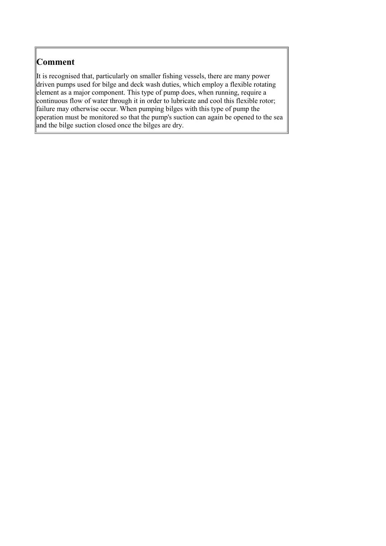<span id="page-18-0"></span>It is recognised that, particularly on smaller fishing vessels, there are many power driven pumps used for bilge and deck wash duties, which employ a flexible rotating element as a major component. This type of pump does, when running, require a continuous flow of water through it in order to lubricate and cool this flexible rotor; failure may otherwise occur. When pumping bilges with this type of pump the operation must be monitored so that the pump's suction can again be opened to the sea and the bilge suction closed once the bilges are dry.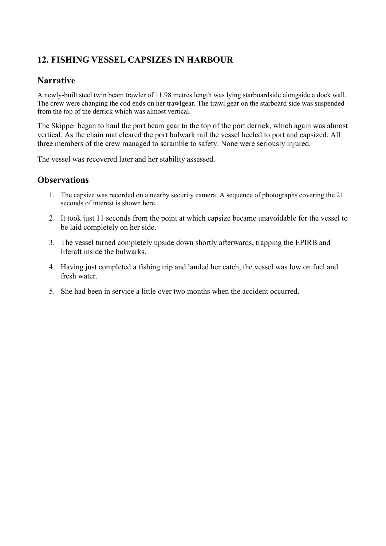## <span id="page-19-0"></span>**12. FISHING VESSEL CAPSIZES IN HARBOUR**

#### **Narrative**

A newly-built steel twin beam trawler of 11.98 metres length was lying starboardside alongside a dock wall. The crew were changing the cod ends on her trawlgear. The trawl gear on the starboard side was suspended from the top of the derrick which was almost vertical.

The Skipper began to haul the port beam gear to the top of the port derrick, which again was almost vertical. As the chain mat cleared the port bulwark rail the vessel heeled to port and capsized. All three members of the crew managed to scramble to safety. None were seriously injured.

The vessel was recovered later and her stability assessed.

- 1. The capsize was recorded on a nearby security camera. A sequence of photographs covering the 21 seconds of interest is shown here.
- 2. It took just 11 seconds from the point at which capsize became unavoidable for the vessel to be laid completely on her side.
- 3. The vessel turned completely upside down shortly afterwards, trapping the EPIRB and liferaft inside the bulwarks.
- 4. Having just completed a fishing trip and landed her catch, the vessel was low on fuel and fresh water.
- 5. She had been in service a little over two months when the accident occurred.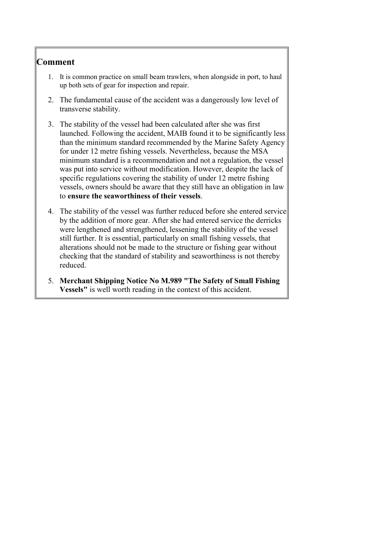- <span id="page-20-0"></span>1. It is common practice on small beam trawlers, when alongside in port, to haul up both sets of gear for inspection and repair.
- 2. The fundamental cause of the accident was a dangerously low level of transverse stability.
- 3. The stability of the vessel had been calculated after she was first launched. Following the accident, MAIB found it to be significantly less than the minimum standard recommended by the Marine Safety Agency for under 12 metre fishing vessels. Nevertheless, because the MSA minimum standard is a recommendation and not a regulation, the vessel was put into service without modification. However, despite the lack of specific regulations covering the stability of under 12 metre fishing vessels, owners should be aware that they still have an obligation in law to **ensure the seaworthiness of their vessels**.
- 4. The stability of the vessel was further reduced before she entered service by the addition of more gear. After she had entered service the derricks were lengthened and strengthened, lessening the stability of the vessel still further. It is essential, particularly on small fishing vessels, that alterations should not be made to the structure or fishing gear without checking that the standard of stability and seaworthiness is not thereby reduced.
- 5. **Merchant Shipping Notice No M.989 "The Safety of Small Fishing Vessels"** is well worth reading in the context of this accident.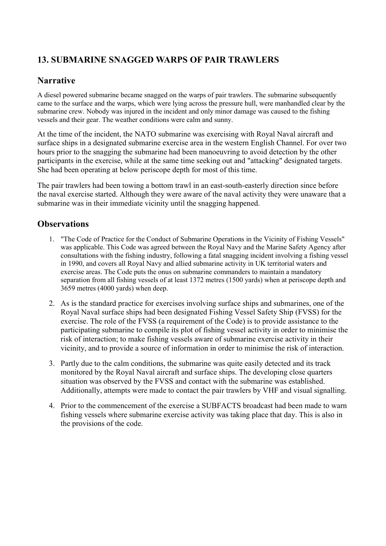## <span id="page-21-0"></span>**13. SUBMARINE SNAGGED WARPS OF PAIR TRAWLERS**

#### **Narrative**

A diesel powered submarine became snagged on the warps of pair trawlers. The submarine subsequently came to the surface and the warps, which were lying across the pressure hull, were manhandled clear by the submarine crew. Nobody was injured in the incident and only minor damage was caused to the fishing vessels and their gear. The weather conditions were calm and sunny.

At the time of the incident, the NATO submarine was exercising with Royal Naval aircraft and surface ships in a designated submarine exercise area in the western English Channel. For over two hours prior to the snagging the submarine had been manoeuvring to avoid detection by the other participants in the exercise, while at the same time seeking out and "attacking" designated targets. She had been operating at below periscope depth for most of this time.

The pair trawlers had been towing a bottom trawl in an east-south-easterly direction since before the naval exercise started. Although they were aware of the naval activity they were unaware that a submarine was in their immediate vicinity until the snagging happened.

- 1. "The Code of Practice for the Conduct of Submarine Operations in the Vicinity of Fishing Vessels" was applicable. This Code was agreed between the Royal Navy and the Marine Safety Agency after consultations with the fishing industry, following a fatal snagging incident involving a fishing vessel in 1990, and covers all Royal Navy and allied submarine activity in UK territorial waters and exercise areas. The Code puts the onus on submarine commanders to maintain a mandatory separation from all fishing vessels of at least 1372 metres (1500 yards) when at periscope depth and 3659 metres (4000 yards) when deep.
- 2. As is the standard practice for exercises involving surface ships and submarines, one of the Royal Naval surface ships had been designated Fishing Vessel Safety Ship (FVSS) for the exercise. The role of the FVSS (a requirement of the Code) is to provide assistance to the participating submarine to compile its plot of fishing vessel activity in order to minimise the risk of interaction; to make fishing vessels aware of submarine exercise activity in their vicinity, and to provide a source of information in order to minimise the risk of interaction.
- 3. Partly due to the calm conditions, the submarine was quite easily detected and its track monitored by the Royal Naval aircraft and surface ships. The developing close quarters situation was observed by the FVSS and contact with the submarine was established. Additionally, attempts were made to contact the pair trawlers by VHF and visual signalling.
- 4. Prior to the commencement of the exercise a SUBFACTS broadcast had been made to warn fishing vessels where submarine exercise activity was taking place that day. This is also in the provisions of the code.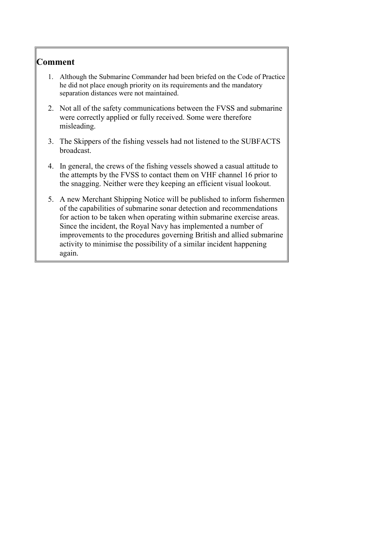- <span id="page-22-0"></span>1. Although the Submarine Commander had been briefed on the Code of Practice he did not place enough priority on its requirements and the mandatory separation distances were not maintained.
- 2. Not all of the safety communications between the FVSS and submarine were correctly applied or fully received. Some were therefore misleading.
- 3. The Skippers of the fishing vessels had not listened to the SUBFACTS broadcast.
- 4. In general, the crews of the fishing vessels showed a casual attitude to the attempts by the FVSS to contact them on VHF channel 16 prior to the snagging. Neither were they keeping an efficient visual lookout.
- 5. A new Merchant Shipping Notice will be published to inform fishermen of the capabilities of submarine sonar detection and recommendations for action to be taken when operating within submarine exercise areas. Since the incident, the Royal Navy has implemented a number of improvements to the procedures governing British and allied submarine activity to minimise the possibility of a similar incident happening again.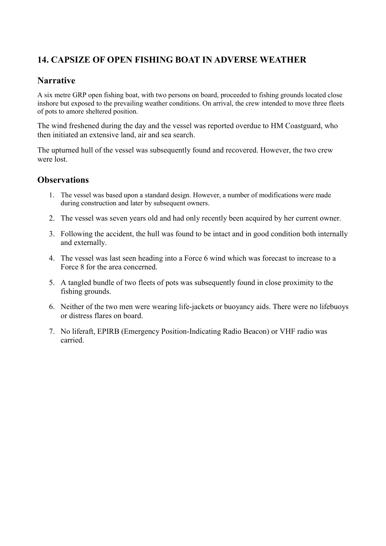## <span id="page-23-0"></span>**14. CAPSIZE OF OPEN FISHING BOAT IN ADVERSE WEATHER**

#### **Narrative**

A six metre GRP open fishing boat, with two persons on board, proceeded to fishing grounds located close inshore but exposed to the prevailing weather conditions. On arrival, the crew intended to move three fleets of pots to amore sheltered position.

The wind freshened during the day and the vessel was reported overdue to HM Coastguard, who then initiated an extensive land, air and sea search.

The upturned hull of the vessel was subsequently found and recovered. However, the two crew were lost.

- 1. The vessel was based upon a standard design. However, a number of modifications were made during construction and later by subsequent owners.
- 2. The vessel was seven years old and had only recently been acquired by her current owner.
- 3. Following the accident, the hull was found to be intact and in good condition both internally and externally.
- 4. The vessel was last seen heading into a Force 6 wind which was forecast to increase to a Force 8 for the area concerned.
- 5. A tangled bundle of two fleets of pots was subsequently found in close proximity to the fishing grounds.
- 6. Neither of the two men were wearing life-jackets or buoyancy aids. There were no lifebuoys or distress flares on board.
- 7. No liferaft, EPIRB (Emergency Position-Indicating Radio Beacon) or VHF radio was carried.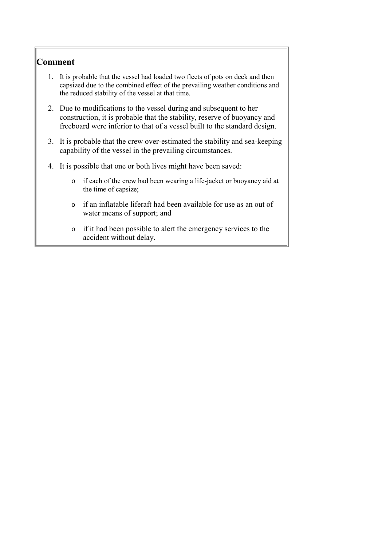- <span id="page-24-0"></span>1. It is probable that the vessel had loaded two fleets of pots on deck and then capsized due to the combined effect of the prevailing weather conditions and the reduced stability of the vessel at that time.
- 2. Due to modifications to the vessel during and subsequent to her construction, it is probable that the stability, reserve of buoyancy and freeboard were inferior to that of a vessel built to the standard design.
- 3. It is probable that the crew over-estimated the stability and sea-keeping capability of the vessel in the prevailing circumstances.
- 4. It is possible that one or both lives might have been saved:
	- o if each of the crew had been wearing a life-jacket or buoyancy aid at the time of capsize;
	- o if an inflatable liferaft had been available for use as an out of water means of support; and
	- o if it had been possible to alert the emergency services to the accident without delay.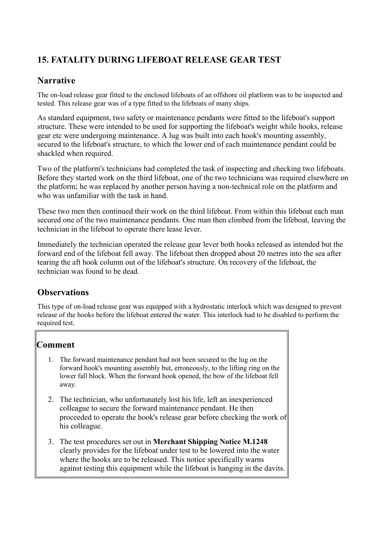## <span id="page-25-0"></span>**15. FATALITY DURING LIFEBOAT RELEASE GEAR TEST**

#### **Narrative**

The on-load release gear fitted to the enclosed lifeboats of an offshore oil platform was to be inspected and tested. This release gear was of a type fitted to the lifeboats of many ships.

As standard equipment, two safety or maintenance pendants were fitted to the lifeboat's support structure. These were intended to be used for supporting the lifeboat's weight while hooks, release gear etc were undergoing maintenance. A lug was built into each hook's mounting assembly, secured to the lifeboat's structure, to which the lower end of each maintenance pendant could be shackled when required.

Two of the platform's technicians had completed the task of inspecting and checking two lifeboats. Before they started work on the third lifeboat, one of the two technicians was required elsewhere on the platform; he was replaced by another person having a non-technical role on the platform and who was unfamiliar with the task in hand.

These two men then continued their work on the third lifeboat. From within this lifeboat each man secured one of the two maintenance pendants. One man then climbed from the lifeboat, leaving the technician in the lifeboat to operate there lease lever.

Immediately the technician operated the release gear lever both hooks released as intended but the forward end of the lifeboat fell away. The lifeboat then dropped about 20 metres into the sea after tearing the aft hook column out of the lifeboat's structure. On recovery of the lifeboat, the technician was found to be dead.

## **Observations**

This type of on-load release gear was equipped with a hydrostatic interlock which was designed to prevent release of the hooks before the lifeboat entered the water. This interlock had to be disabled to perform the required test.

- 1. The forward maintenance pendant had not been secured to the lug on the forward hook's mounting assembly but, erroneously, to the lifting ring on the lower fall block. When the forward hook opened, the bow of the lifeboat fell away.
- 2. The technician, who unfortunately lost his life, left an inexperienced colleague to secure the forward maintenance pendant. He then proceeded to operate the hook's release gear before checking the work of his colleague.
- 3. The test procedures set out in **Merchant Shipping Notice M.1248** clearly provides for the lifeboat under test to be lowered into the water where the hooks are to be released. This notice specifically warns against testing this equipment while the lifeboat is hanging in the davits.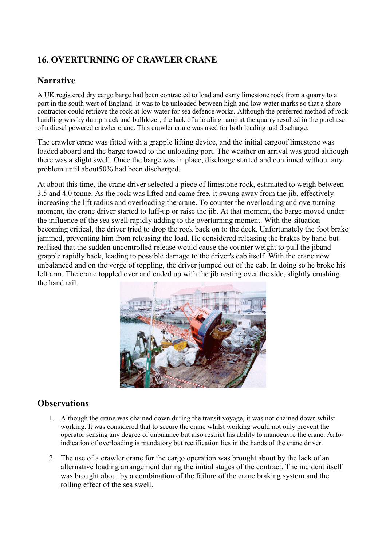## <span id="page-26-0"></span>**16. OVERTURNING OF CRAWLER CRANE**

#### **Narrative**

A UK registered dry cargo barge had been contracted to load and carry limestone rock from a quarry to a port in the south west of England. It was to be unloaded between high and low water marks so that a shore contractor could retrieve the rock at low water for sea defence works. Although the preferred method of rock handling was by dump truck and bulldozer, the lack of a loading ramp at the quarry resulted in the purchase of a diesel powered crawler crane. This crawler crane was used for both loading and discharge.

The crawler crane was fitted with a grapple lifting device, and the initial cargoof limestone was loaded aboard and the barge towed to the unloading port. The weather on arrival was good although there was a slight swell. Once the barge was in place, discharge started and continued without any problem until about50% had been discharged.

At about this time, the crane driver selected a piece of limestone rock, estimated to weigh between 3.5 and 4.0 tonne. As the rock was lifted and came free, it swung away from the jib, effectively increasing the lift radius and overloading the crane. To counter the overloading and overturning moment, the crane driver started to luff-up or raise the jib. At that moment, the barge moved under the influence of the sea swell rapidly adding to the overturning moment. With the situation becoming critical, the driver tried to drop the rock back on to the deck. Unfortunately the foot brake jammed, preventing him from releasing the load. He considered releasing the brakes by hand but realised that the sudden uncontrolled release would cause the counter weight to pull the jiband grapple rapidly back, leading to possible damage to the driver's cab itself. With the crane now unbalanced and on the verge of toppling, the driver jumped out of the cab. In doing so he broke his left arm. The crane toppled over and ended up with the jib resting over the side, slightly crushing the hand rail.



- 1. Although the crane was chained down during the transit voyage, it was not chained down whilst working. It was considered that to secure the crane whilst working would not only prevent the operator sensing any degree of unbalance but also restrict his ability to manoeuvre the crane. Autoindication of overloading is mandatory but rectification lies in the hands of the crane driver.
- 2. The use of a crawler crane for the cargo operation was brought about by the lack of an alternative loading arrangement during the initial stages of the contract. The incident itself was brought about by a combination of the failure of the crane braking system and the rolling effect of the sea swell.